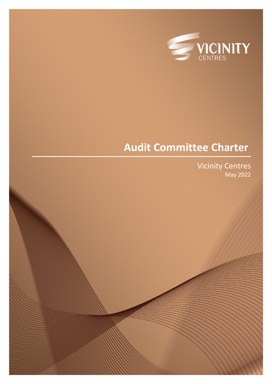

# **Audit Committee Charter**

Vicinity Centres May 2022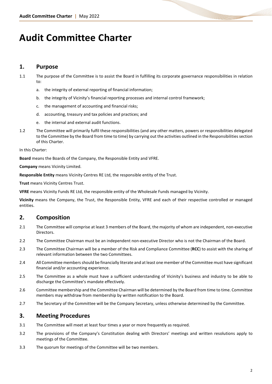# **Audit Committee Charter**

## **1. Purpose**

- 1.1 The purpose of the Committee is to assist the Board in fulfilling its corporate governance responsibilities in relation to:
	- a. the integrity of external reporting of financial information;
	- b. the integrity of Vicinity's financial reporting processes and internal control framework;
	- c. the management of accounting and financial risks;
	- d. accounting, treasury and tax policies and practices; and
	- the internal and external audit functions.
- 1.2 The Committee will primarily fulfil these responsibilities (and any other matters, powers or responsibilities delegated to the Committee by the Board from time to time) by carrying out the activities outlined in the Responsibilities section of this Charter.

In this Charter:

**Board** means the Boards of the Company, the Responsible Entity and VFRE.

**Company** means Vicinity Limited.

**Responsible Entity** means Vicinity Centres RE Ltd, the responsible entity of the Trust.

**Trust** means Vicinity Centres Trust.

**VFRE** means Vicinity Funds RE Ltd, the responsible entity of the Wholesale Funds managed by Vicinity.

**Vicinity** means the Company, the Trust, the Responsible Entity, VFRE and each of their respective controlled or managed entities.

## **2. Composition**

- 2.1 The Committee will comprise at least 3 members of the Board, the majority of whom are independent, non-executive Directors.
- 2.2 The Committee Chairman must be an independent non-executive Director who is not the Chairman of the Board.
- 2.3 The Committee Chairman will be a member of the Risk and Compliance Committee (**RCC**) to assist with the sharing of relevant information between the two Committees.
- 2.4 All Committee members should be financially literate and at least one member of the Committee must have significant financial and/or accounting experience.
- 2.5 The Committee as a whole must have a sufficient understanding of Vicinity's business and industry to be able to discharge the Committee's mandate effectively.
- 2.6 Committee membership and the Committee Chairman will be determined by the Board from time to time. Committee members may withdraw from membership by written notification to the Board.
- 2.7 The Secretary of the Committee will be the Company Secretary, unless otherwise determined by the Committee.

## **3. Meeting Procedures**

- 3.1 The Committee will meet at least four times a year or more frequently as required.
- 3.2 The provisions of the Company's Constitution dealing with Directors' meetings and written resolutions apply to meetings of the Committee.
- 3.3 The quorum for meetings of the Committee will be two members.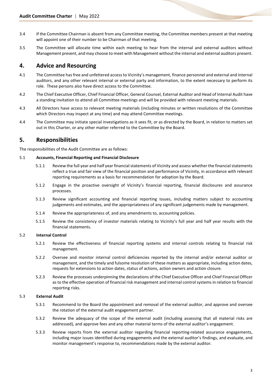- 3.4 If the Committee Chairman is absent from any Committee meeting, the Committee members present at that meeting will appoint one of their number to be Chairman of that meeting.
- 3.5 The Committee will allocate time within each meeting to hear from the internal and external auditors without Management present, and may choose to meet with Management without the internal and external auditors present.

## **4. Advice and Resourcing**

- 4.1 The Committee has free and unfettered access to Vicinity's management, finance personnel and external and internal auditors, and any other relevant internal or external party and information, to the extent necessary to perform its role. These persons also have direct access to the Committee.
- 4.2 The Chief Executive Officer, Chief Financial Officer, General Counsel, External Auditor and Head of Internal Audit have a standing invitation to attend all Committee meetings and will be provided with relevant meeting materials.
- 4.3 All Directors have access to relevant meeting materials (including minutes or written resolutions of the Committee which Directors may inspect at any time) and may attend Committee meetings.
- 4.4 The Committee may initiate special investigations as it sees fit, or as directed by the Board, in relation to matters set out in this Charter, or any other matter referred to the Committee by the Board.

## **5. Responsibilities**

The responsibilities of the Audit Committee are as follows:

#### 5.1 **Accounts, Financial Reporting and Financial Disclosure**

- 5.1.1 Review the full year and half year financial statements of Vicinity and assess whether the financial statements reflect a true and fair view of the financial position and performance of Vicinity, in accordance with relevant reporting requirements as a basis for recommendation for adoption by the Board.
- 5.1.2 Engage in the proactive oversight of Vicinity's financial reporting, financial disclosures and assurance processes.
- 5.1.3 Review significant accounting and financial reporting issues, including matters subject to accounting judgements and estimates, and the appropriateness of any significant judgements made by management.
- 5.1.4 Review the appropriateness of, and any amendments to, accounting policies.
- 5.1.5 Review the consistency of investor materials relating to Vicinity's full year and half year results with the financial statements.

### 5.2 **Internal Control**

- 5.2.1 Review the effectiveness of financial reporting systems and internal controls relating to financial risk management.
- 5.2.2 Oversee and monitor internal control deficiencies reported by the internal and/or external auditor or management, and the timely and fulsome resolution of these matters as appropriate, including action dates, requests for extensions to action dates, status of actions, action owners and action closure.
- 5.2.3 Review the processes underpinning the declarations of the Chief Executive Officer and Chief Financial Officer as to the effective operation of financial risk management and internal control systems in relation to financial reporting risks.

### 5.3 **External Audit**

- 5.3.1 Recommend to the Board the appointment and removal of the external auditor, and approve and oversee the rotation of the external audit engagement partner.
- 5.3.2 Review the adequacy of the scope of the external audit (including assessing that all material risks are addressed), and approve fees and any other material terms of the external auditor's engagement.
- 5.3.3 Review reports from the external auditor regarding financial reporting-related assurance engagements, including major issues identified during engagements and the external auditor's findings, and evaluate, and monitor management's response to, recommendations made by the external auditor.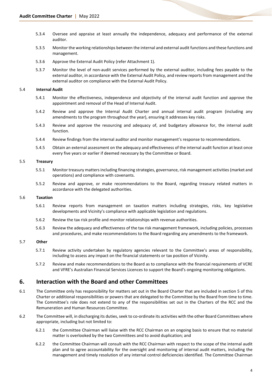- 5.3.4 Oversee and appraise at least annually the independence, adequacy and performance of the external auditor.
- 5.3.5 Monitor the working relationships between the internal and external audit functions and these functions and management.
- 5.3.6 Approve the External Audit Policy (refer Attachment 1).
- 5.3.7 Monitor the level of non-audit services performed by the external auditor, including fees payable to the external auditor, in accordance with the External Audit Policy, and review reports from management and the external auditor on compliance with the External Audit Policy.

#### 5.4 **Internal Audit**

- 5.4.1 Monitor the effectiveness, independence and objectivity of the internal audit function and approve the appointment and removal of the Head of Internal Audit.
- 5.4.2 Review and approve the Internal Audit Charter and annual internal audit program (including any amendments to the program throughout the year), ensuring it addresses key risks.
- 5.4.3 Review and approve the resourcing and adequacy of, and budgetary allowance for, the internal audit function.
- 5.4.4 Review findings from the internal auditor and monitor management's response to recommendations.
- 5.4.5 Obtain an external assessment on the adequacy and effectiveness of the internal audit function at least once every five years or earlier if deemed necessary by the Committee or Board.

#### 5.5 **Treasury**

- 5.5.1 Monitor treasury matters including financing strategies, governance, risk management activities (market and operations) and compliance with covenants.
- 5.5.2 Review and approve, or make recommendations to the Board, regarding treasury related matters in accordance with the delegated authorities.

#### 5.6 **Taxation**

- 5.6.1 Review reports from management on taxation matters including strategies, risks, key legislative developments and Vicinity's compliance with applicable legislation and regulations.
- 5.6.2 Review the tax risk profile and monitor relationships with revenue authorities.
- 5.6.3 Review the adequacy and effectiveness of the tax risk management framework, including policies, processes and procedures, and make recommendations to the Board regarding any amendments to the framework.

#### 5.7 **Other**

- 5.7.1 Review activity undertaken by regulatory agencies relevant to the Committee's areas of responsibility, including to assess any impact on the financial statements or tax position of Vicinity.
- 5.7.2 Review and make recommendations to the Board as to compliance with the financial requirements of VCRE and VFRE's Australian Financial Services Licences to support the Board's ongoing monitoring obligations.

## **6. Interaction with the Board and other Committees**

- 6.1 The Committee only has responsibility for matters set out in the Board Charter that are included in section 5 of this Charter or additional responsibilities or powers that are delegated to the Committee by the Board from time to time. The Committee's role does not extend to any of the responsibilities set out in the Charters of the RCC and the Remuneration and Human Resources Committee.
- 6.2 The Committee will, in discharging its duties, seek to co-ordinate its activities with the other Board Committees where appropriate, including but not limited to:
	- 6.2.1 the Committee Chairman will liaise with the RCC Chairman on an ongoing basis to ensure that no material matter is overlooked by the two Committees and to avoid duplication; and
	- 6.2.2 the Committee Chairman will consult with the RCC Chairman with respect to the scope of the internal audit plan and to agree accountability for the oversight and monitoring of internal audit matters, including the management and timely resolution of any internal control deficiencies identified. The Committee Chairman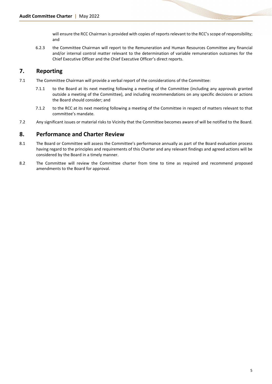will ensure the RCC Chairman is provided with copies of reports relevant to the RCC's scope of responsibility; and

6.2.3 the Committee Chairman will report to the Remuneration and Human Resources Committee any financial and/or internal control matter relevant to the determination of variable remuneration outcomes for the Chief Executive Officer and the Chief Executive Officer's direct reports.

## **7. Reporting**

- 7.1 The Committee Chairman will provide a verbal report of the considerations of the Committee:
	- 7.1.1 to the Board at its next meeting following a meeting of the Committee (including any approvals granted outside a meeting of the Committee), and including recommendations on any specific decisions or actions the Board should consider; and
	- 7.1.2 to the RCC at its next meeting following a meeting of the Committee in respect of matters relevant to that committee's mandate.
- 7.2 Any significant issues or material risks to Vicinity that the Committee becomes aware of will be notified to the Board.

## **8. Performance and Charter Review**

- 8.1 The Board or Committee will assess the Committee's performance annually as part of the Board evaluation process having regard to the principles and requirements of this Charter and any relevant findings and agreed actions will be considered by the Board in a timely manner.
- 8.2 The Committee will review the Committee charter from time to time as required and recommend proposed amendments to the Board for approval.